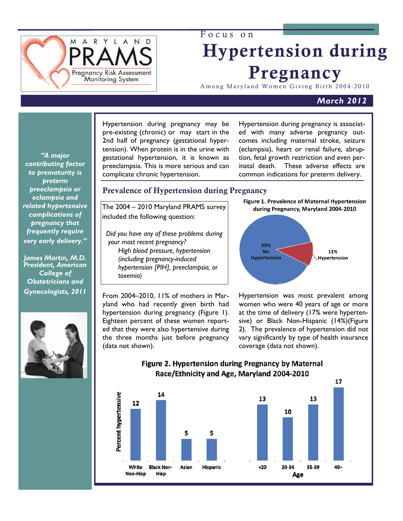

# Focus on Hypertension during Pregnancy

Among Maryland Women Giving Birth 2004-2010

# *March 2012*

*"A major contributing factor to prematurity is preterm preeclampsia or eclampsia and related hypertensive complications of pregnancy that frequently require very early delivery."* 

*James Martin, M.D. President, American College of Obstetricians and Gynecologists, 2011* 



 Hypertension during pregnancy may be pre-existing (chronic) or may start in the 2nd half of pregnancy (gestational hypertension). When protein is in the urine with gestational hypertension, it is known as preeclampsia. This is more serious and can complicate chronic hypertension.

Hypertension during pregnancy is associated with many adverse pregnancy outcomes including maternal stroke, seizure (eclampsia), heart or renal failure, abruption, fetal growth restriction and even perinatal death. These adverse effects are common indications for preterm delivery.

# Prevalence of Hypertension during Pregnancy

The 2004 – 2010 Maryland PRAMS survey included the following question:

 *Did you have any of these problems during your most recent pregnancy? High blood pressure, hypertension (including pregnancy-induced hypertension [PIH], preeclampsia, or toxemia)* 

From 2004–2010, 11% of mothers in Maryland who had recently given birth had hypertension during pregnancy (Figure 1). Eighteen percent of these women reported that they were also hypertensive during the three months just before pregnancy (data not shown).



Hypertension was most prevalent among women who were 40 years of age or more at the time of delivery (17% were hypertensive) or Black Non-Hispanic (14%)(Figure 2). The prevalence of hypertension did not vary significantly by type of health insurance coverage (data not shown).



# Figure 2. Hypertension during Pregnancy by Maternal Race/Ethnicity and Age, Maryland 2004-2010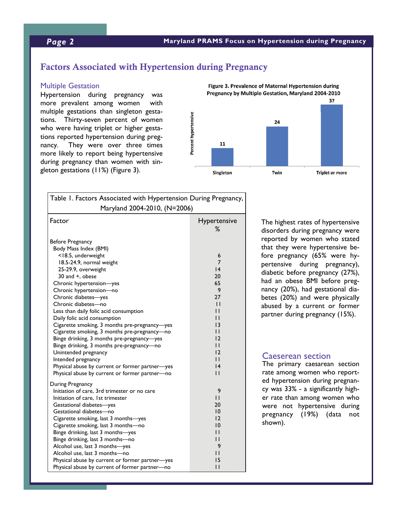# *Page 2* **Maryland PRAMS Focus on Hypertension during Pregnancy**

# Factors Associated with Hypertension during Pregnancy

#### Multiple Gestation

Hypertension during pregnancy was more prevalent among women with multiple gestations than singleton gestations. Thirty-seven percent of women who were having triplet or higher gestations reported hypertension during pregnancy. They were over three times more likely to report being hypertensive during pregnancy than women with singleton gestations (11%) (Figure 3).



| Table 1. Factors Associated with Hypertension During Pregnancy,<br>Maryland 2004-2010, (N=2006)                                                                                                                                                                                                                                                                                                                                                                                                                                                                                                                    |                                                                                                                                  |
|--------------------------------------------------------------------------------------------------------------------------------------------------------------------------------------------------------------------------------------------------------------------------------------------------------------------------------------------------------------------------------------------------------------------------------------------------------------------------------------------------------------------------------------------------------------------------------------------------------------------|----------------------------------------------------------------------------------------------------------------------------------|
|                                                                                                                                                                                                                                                                                                                                                                                                                                                                                                                                                                                                                    |                                                                                                                                  |
| Before Pregnancy<br>Body Mass Index (BMI)<br><18.5, underweight<br>18.5-24.9, normal weight<br>25-29.9, overweight<br>30 and +, obese<br>Chronic hypertension-yes<br>Chronic hypertension-no<br>Chronic diabetes-yes<br>Chronic diabetes-no<br>Less than daily folic acid consumption<br>Daily folic acid consumption<br>Cigarette smoking, 3 months pre-pregnancy-yes<br>Cigarette smoking, 3 months pre-pregnancy-no<br>Binge drinking, 3 months pre-pregnancy-yes<br>Binge drinking, 3 months pre-pregnancy-no<br>Unintended pregnancy<br>Intended pregnancy<br>Physical abuse by current or former partner-yes | 6<br>7<br> 4<br>20<br>65<br>9<br>27<br>$\mathbf{1}$<br>П<br>11<br>13<br>l I<br>$\overline{2}$<br>11<br>$\overline{2}$<br>Ħ<br> 4 |
| Physical abuse by current or former partner-no                                                                                                                                                                                                                                                                                                                                                                                                                                                                                                                                                                     | $\mathbf{1}$                                                                                                                     |
| During Pregnancy<br>Initiation of care, 3rd trimester or no care<br>Initiation of care, 1st trimester<br>Gestational diabetes-yes<br>Gestational diabetes-no<br>Cigarette smoking, last 3 months—yes<br>Cigarette smoking, last 3 months-no<br>Binge drinking, last 3 months-yes<br>Binge drinking, last 3 months-no<br>Alcohol use, last 3 months-yes<br>Alcohol use, last 3 months-no<br>Physical abuse by current or former partner-yes<br>Physical abuse by current of former partner-no                                                                                                                       | 9<br>$\overline{11}$<br>20<br>10<br>$\overline{2}$<br>10<br>11<br>11<br>9<br>11<br>15<br>$\mathbf{1}$                            |

The highest rates of hypertensive disorders during pregnancy were reported by women who stated that they were hypertensive before pregnancy (65% were hypertensive during pregnancy), diabetic before pregnancy (27%), had an obese BMI before pregnancy (20%), had gestational diabetes (20%) and were physically abused by a current or former partner during pregnancy (15%).

#### Caeserean section

The primary caesarean section rate among women who reported hypertension during pregnancy was 33% - a significantly higher rate than among women who were not hypertensive during pregnancy (19%) (data not shown).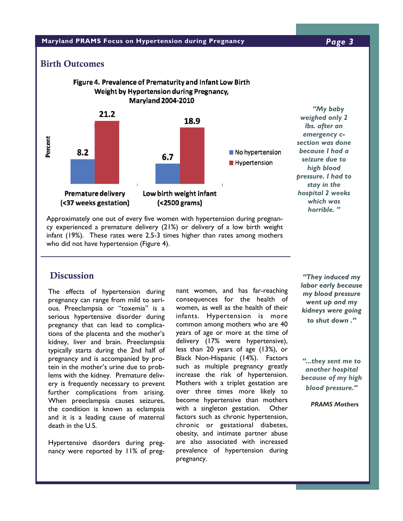#### **Maryland PRAMS Focus on Hypertension during Pregnancy** *Page 3*

### Birth Outcomes



Approximately one out of every five women with hypertension during pregnancy experienced a premature delivery (21%) or delivery of a low birth weight infant (19%). These rates were 2.5-3 times higher than rates among mothers who did not have hypertension (Figure 4).

# **Discussion**

The effects of hypertension during pregnancy can range from mild to serious. Preeclampsia or "toxemia" is a serious hypertensive disorder during pregnancy that can lead to complications of the placenta and the mother's kidney, liver and brain. Preeclampsia typically starts during the 2nd half of pregnancy and is accompanied by protein in the mother's urine due to problems with the kidney. Premature delivery is frequently necessary to prevent further complications from arising. When preeclampsia causes seizures, the condition is known as eclampsia and it is a leading cause of maternal death in the U.S.

Hypertensive disorders during pregnancy were reported by 11% of pregnant women, and has far-reaching consequences for the health of women, as well as the health of their infants. Hypertension is more common among mothers who are 40 years of age or more at the time of delivery (17% were hypertensive), less than 20 years of age (13%), or Black Non-Hispanic (14%). Factors such as multiple pregnancy greatly increase the risk of hypertension. Mothers with a triplet gestation are over three times more likely to become hypertensive than mothers with a singleton gestation. Other factors such as chronic hypertension, chronic or gestational diabetes, obesity, and intimate partner abuse are also associated with increased prevalence of hypertension during pregnancy.

*"They induced my labor early because my blood pressure went up and my kidneys were going to shut down ."* 

*"...they sent me to another hospital because of my high blood pressure."* 

 *PRAMS Mothers*

*"My baby* 

*high blood* 

*stay in the* 

*which was horrible. "*